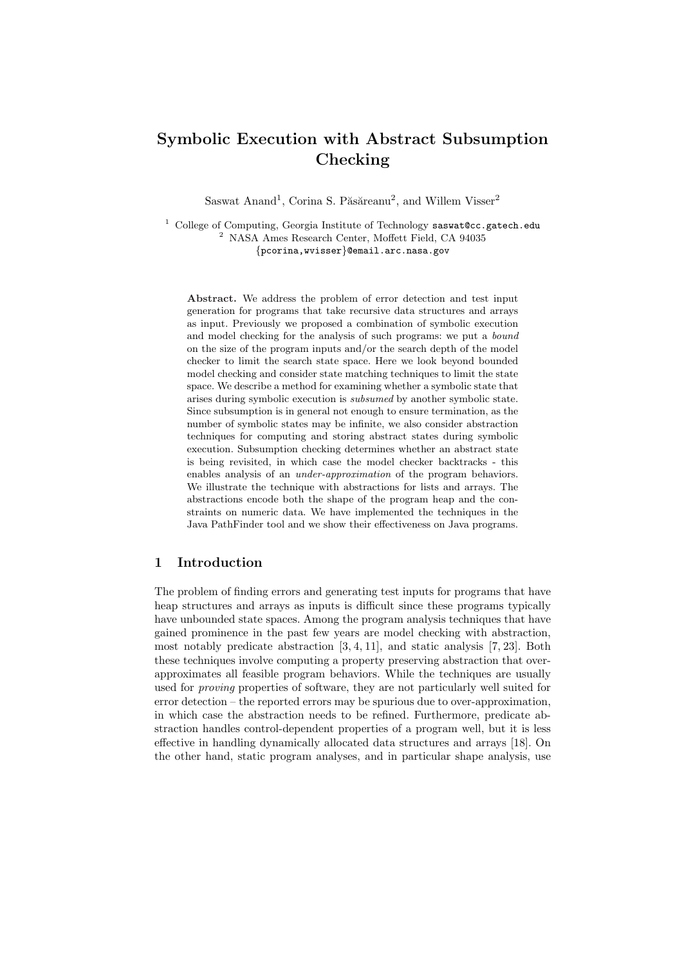# Symbolic Execution with Abstract Subsumption Checking

Saswat Anand<sup>1</sup>, Corina S. Păsăreanu<sup>2</sup>, and Willem Visser<sup>2</sup>

<sup>1</sup> College of Computing, Georgia Institute of Technology saswat@cc.gatech.edu <sup>2</sup> NASA Ames Research Center, Moffett Field, CA 94035 {pcorina,wvisser}@email.arc.nasa.gov

Abstract. We address the problem of error detection and test input generation for programs that take recursive data structures and arrays as input. Previously we proposed a combination of symbolic execution and model checking for the analysis of such programs: we put a bound on the size of the program inputs and/or the search depth of the model checker to limit the search state space. Here we look beyond bounded model checking and consider state matching techniques to limit the state space. We describe a method for examining whether a symbolic state that arises during symbolic execution is subsumed by another symbolic state. Since subsumption is in general not enough to ensure termination, as the number of symbolic states may be infinite, we also consider abstraction techniques for computing and storing abstract states during symbolic execution. Subsumption checking determines whether an abstract state is being revisited, in which case the model checker backtracks - this enables analysis of an under-approximation of the program behaviors. We illustrate the technique with abstractions for lists and arrays. The abstractions encode both the shape of the program heap and the constraints on numeric data. We have implemented the techniques in the Java PathFinder tool and we show their effectiveness on Java programs.

## 1 Introduction

The problem of finding errors and generating test inputs for programs that have heap structures and arrays as inputs is difficult since these programs typically have unbounded state spaces. Among the program analysis techniques that have gained prominence in the past few years are model checking with abstraction, most notably predicate abstraction [3, 4, 11], and static analysis [7, 23]. Both these techniques involve computing a property preserving abstraction that overapproximates all feasible program behaviors. While the techniques are usually used for proving properties of software, they are not particularly well suited for error detection – the reported errors may be spurious due to over-approximation, in which case the abstraction needs to be refined. Furthermore, predicate abstraction handles control-dependent properties of a program well, but it is less effective in handling dynamically allocated data structures and arrays [18]. On the other hand, static program analyses, and in particular shape analysis, use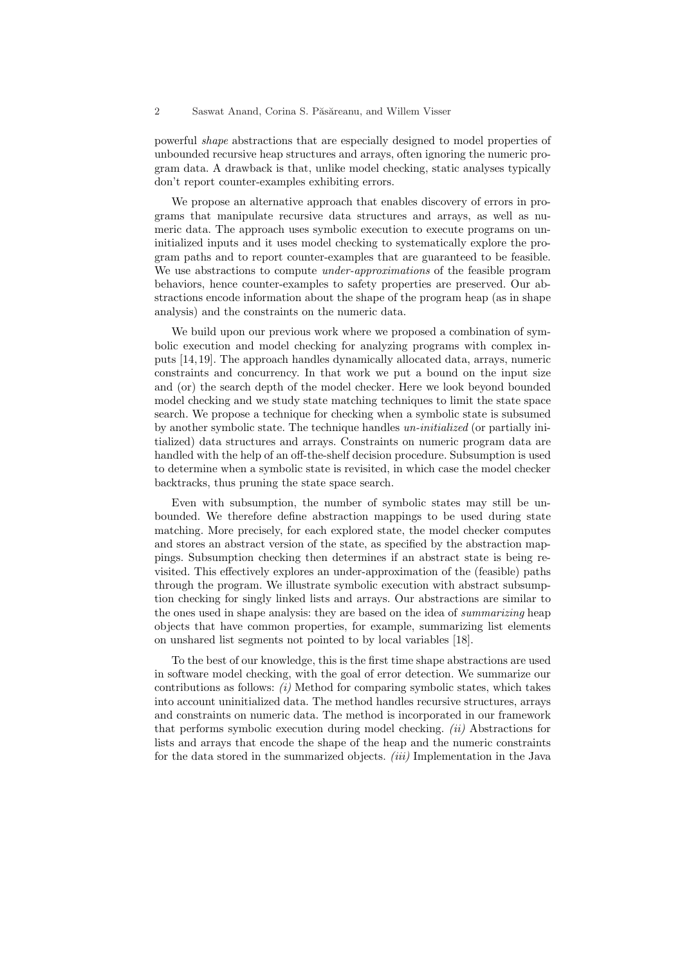powerful shape abstractions that are especially designed to model properties of unbounded recursive heap structures and arrays, often ignoring the numeric program data. A drawback is that, unlike model checking, static analyses typically don't report counter-examples exhibiting errors.

We propose an alternative approach that enables discovery of errors in programs that manipulate recursive data structures and arrays, as well as numeric data. The approach uses symbolic execution to execute programs on uninitialized inputs and it uses model checking to systematically explore the program paths and to report counter-examples that are guaranteed to be feasible. We use abstractions to compute *under-approximations* of the feasible program behaviors, hence counter-examples to safety properties are preserved. Our abstractions encode information about the shape of the program heap (as in shape analysis) and the constraints on the numeric data.

We build upon our previous work where we proposed a combination of symbolic execution and model checking for analyzing programs with complex inputs [14, 19]. The approach handles dynamically allocated data, arrays, numeric constraints and concurrency. In that work we put a bound on the input size and (or) the search depth of the model checker. Here we look beyond bounded model checking and we study state matching techniques to limit the state space search. We propose a technique for checking when a symbolic state is subsumed by another symbolic state. The technique handles un-initialized (or partially initialized) data structures and arrays. Constraints on numeric program data are handled with the help of an off-the-shelf decision procedure. Subsumption is used to determine when a symbolic state is revisited, in which case the model checker backtracks, thus pruning the state space search.

Even with subsumption, the number of symbolic states may still be unbounded. We therefore define abstraction mappings to be used during state matching. More precisely, for each explored state, the model checker computes and stores an abstract version of the state, as specified by the abstraction mappings. Subsumption checking then determines if an abstract state is being revisited. This effectively explores an under-approximation of the (feasible) paths through the program. We illustrate symbolic execution with abstract subsumption checking for singly linked lists and arrays. Our abstractions are similar to the ones used in shape analysis: they are based on the idea of *summarizing* heap objects that have common properties, for example, summarizing list elements on unshared list segments not pointed to by local variables [18].

To the best of our knowledge, this is the first time shape abstractions are used in software model checking, with the goal of error detection. We summarize our contributions as follows:  $(i)$  Method for comparing symbolic states, which takes into account uninitialized data. The method handles recursive structures, arrays and constraints on numeric data. The method is incorporated in our framework that performs symbolic execution during model checking. (ii) Abstractions for lists and arrays that encode the shape of the heap and the numeric constraints for the data stored in the summarized objects. *(iii)* Implementation in the Java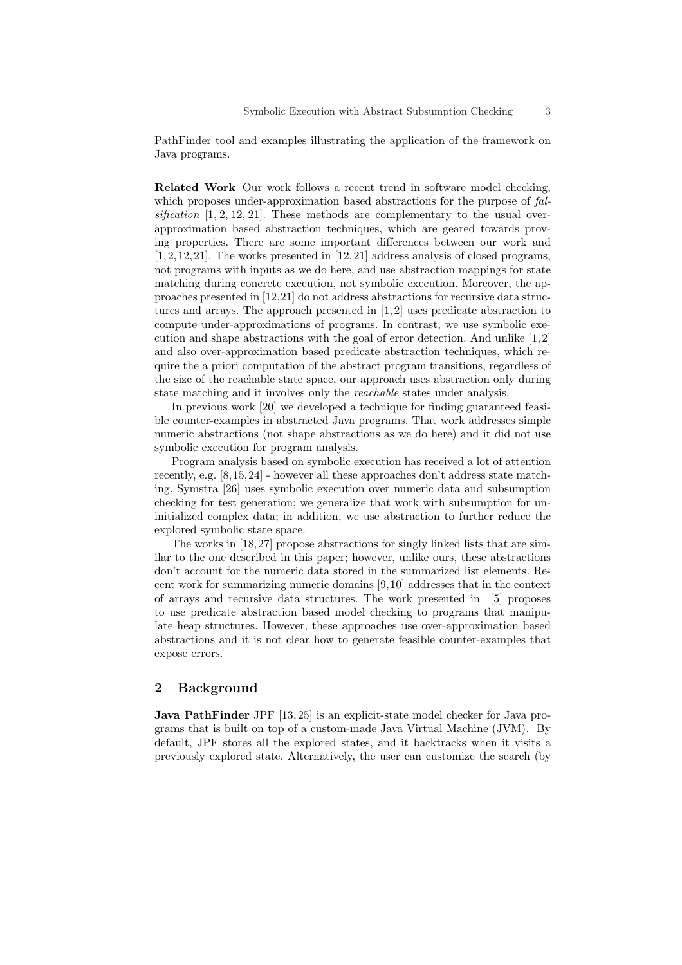PathFinder tool and examples illustrating the application of the framework on Java programs.

Related Work Our work follows a recent trend in software model checking, which proposes under-approximation based abstractions for the purpose of falsification  $[1, 2, 12, 21]$ . These methods are complementary to the usual overapproximation based abstraction techniques, which are geared towards proving properties. There are some important differences between our work and  $[1, 2, 12, 21]$ . The works presented in  $[12, 21]$  address analysis of closed programs, not programs with inputs as we do here, and use abstraction mappings for state matching during concrete execution, not symbolic execution. Moreover, the approaches presented in [12,21] do not address abstractions for recursive data structures and arrays. The approach presented in [1, 2] uses predicate abstraction to compute under-approximations of programs. In contrast, we use symbolic execution and shape abstractions with the goal of error detection. And unlike  $[1,2]$ and also over-approximation based predicate abstraction techniques, which require the a priori computation of the abstract program transitions, regardless of the size of the reachable state space, our approach uses abstraction only during state matching and it involves only the reachable states under analysis.

In previous work [20] we developed a technique for finding guaranteed feasible counter-examples in abstracted Java programs. That work addresses simple numeric abstractions (not shape abstractions as we do here) and it did not use symbolic execution for program analysis.

Program analysis based on symbolic execution has received a lot of attention recently, e.g. [8,15,24] - however all these approaches don't address state matching. Symstra [26] uses symbolic execution over numeric data and subsumption checking for test generation; we generalize that work with subsumption for uninitialized complex data; in addition, we use abstraction to further reduce the explored symbolic state space.

The works in [18,27] propose abstractions for singly linked lists that are similar to the one described in this paper; however, unlike ours, these abstractions don't account for the numeric data stored in the summarized list elements. Recent work for summarizing numeric domains [9,10] addresses that in the context of arrays and recursive data structures. The work presented in [5] proposes to use predicate abstraction based model checking to programs that manipulate heap structures. However, these approaches use over-approximation based abstractions and it is not clear how to generate feasible counter-examples that expose errors.

## 2 Background

**Java PathFinder** JPF [13, 25] is an explicit-state model checker for Java programs that is built on top of a custom-made Java Virtual Machine (JVM). By default, JPF stores all the explored states, and it backtracks when it visits a previously explored state. Alternatively, the user can customize the search (by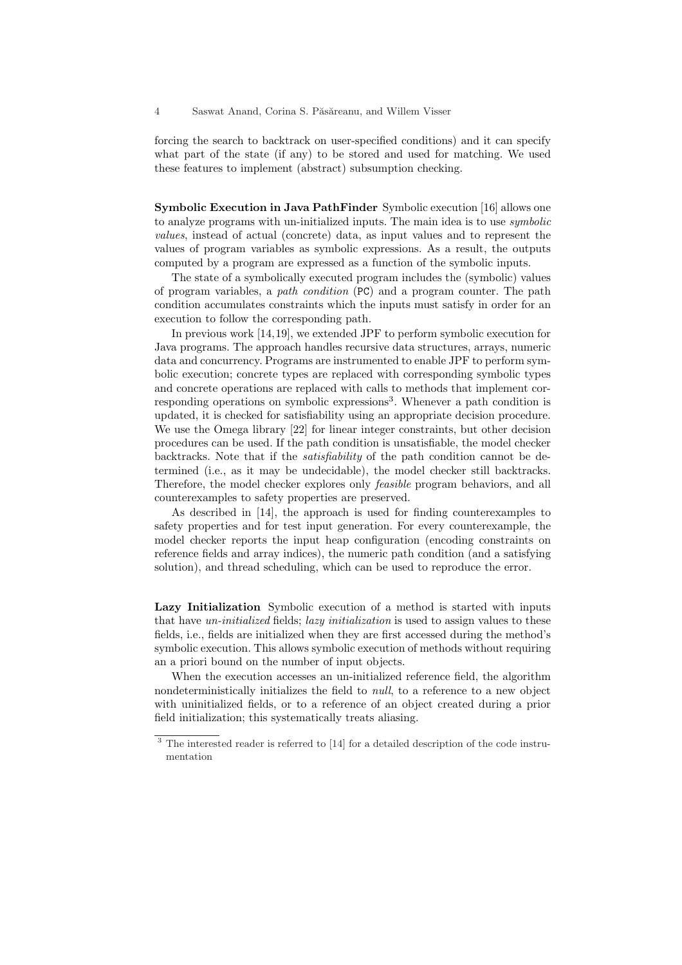forcing the search to backtrack on user-specified conditions) and it can specify what part of the state (if any) to be stored and used for matching. We used these features to implement (abstract) subsumption checking.

Symbolic Execution in Java PathFinder Symbolic execution [16] allows one to analyze programs with un-initialized inputs. The main idea is to use *symbolic* values, instead of actual (concrete) data, as input values and to represent the values of program variables as symbolic expressions. As a result, the outputs computed by a program are expressed as a function of the symbolic inputs.

The state of a symbolically executed program includes the (symbolic) values of program variables, a path condition (PC) and a program counter. The path condition accumulates constraints which the inputs must satisfy in order for an execution to follow the corresponding path.

In previous work [14,19], we extended JPF to perform symbolic execution for Java programs. The approach handles recursive data structures, arrays, numeric data and concurrency. Programs are instrumented to enable JPF to perform symbolic execution; concrete types are replaced with corresponding symbolic types and concrete operations are replaced with calls to methods that implement corresponding operations on symbolic expressions<sup>3</sup>. Whenever a path condition is updated, it is checked for satisfiability using an appropriate decision procedure. We use the Omega library [22] for linear integer constraints, but other decision procedures can be used. If the path condition is unsatisfiable, the model checker backtracks. Note that if the satisfiability of the path condition cannot be determined (i.e., as it may be undecidable), the model checker still backtracks. Therefore, the model checker explores only feasible program behaviors, and all counterexamples to safety properties are preserved.

As described in [14], the approach is used for finding counterexamples to safety properties and for test input generation. For every counterexample, the model checker reports the input heap configuration (encoding constraints on reference fields and array indices), the numeric path condition (and a satisfying solution), and thread scheduling, which can be used to reproduce the error.

Lazy Initialization Symbolic execution of a method is started with inputs that have un-initialized fields; lazy initialization is used to assign values to these fields, i.e., fields are initialized when they are first accessed during the method's symbolic execution. This allows symbolic execution of methods without requiring an a priori bound on the number of input objects.

When the execution accesses an un-initialized reference field, the algorithm nondeterministically initializes the field to *null*, to a reference to a new object with uninitialized fields, or to a reference of an object created during a prior field initialization; this systematically treats aliasing.

 $3$  The interested reader is referred to  $[14]$  for a detailed description of the code instrumentation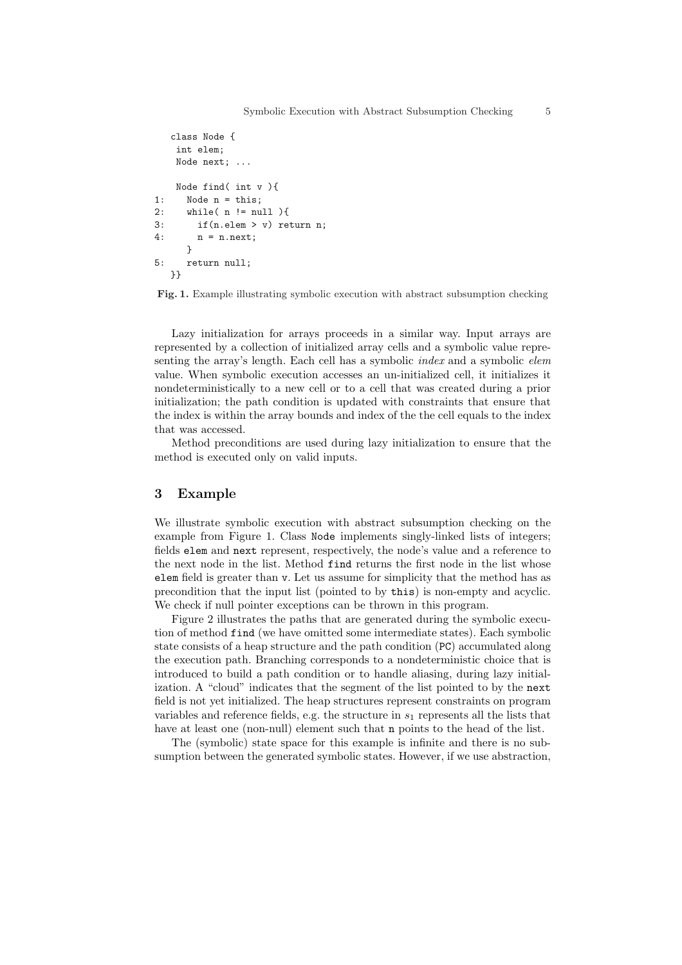```
class Node {
   int elem;
   Node next; ...
   Node find( int v ){
1: Node n = this;
2: while( n != null ){
3: if(n.elem > v) return n;
4: n = n.next:
     }
5: return null;
  }}
```
Fig. 1. Example illustrating symbolic execution with abstract subsumption checking

Lazy initialization for arrays proceeds in a similar way. Input arrays are represented by a collection of initialized array cells and a symbolic value representing the array's length. Each cell has a symbolic *index* and a symbolic *elem* value. When symbolic execution accesses an un-initialized cell, it initializes it nondeterministically to a new cell or to a cell that was created during a prior initialization; the path condition is updated with constraints that ensure that the index is within the array bounds and index of the the cell equals to the index that was accessed.

Method preconditions are used during lazy initialization to ensure that the method is executed only on valid inputs.

## 3 Example

We illustrate symbolic execution with abstract subsumption checking on the example from Figure 1. Class Node implements singly-linked lists of integers; fields elem and next represent, respectively, the node's value and a reference to the next node in the list. Method find returns the first node in the list whose elem field is greater than v. Let us assume for simplicity that the method has as precondition that the input list (pointed to by this) is non-empty and acyclic. We check if null pointer exceptions can be thrown in this program.

Figure 2 illustrates the paths that are generated during the symbolic execution of method find (we have omitted some intermediate states). Each symbolic state consists of a heap structure and the path condition (PC) accumulated along the execution path. Branching corresponds to a nondeterministic choice that is introduced to build a path condition or to handle aliasing, during lazy initialization. A "cloud" indicates that the segment of the list pointed to by the next field is not yet initialized. The heap structures represent constraints on program variables and reference fields, e.g. the structure in  $s_1$  represents all the lists that have at least one (non-null) element such that **n** points to the head of the list.

The (symbolic) state space for this example is infinite and there is no subsumption between the generated symbolic states. However, if we use abstraction,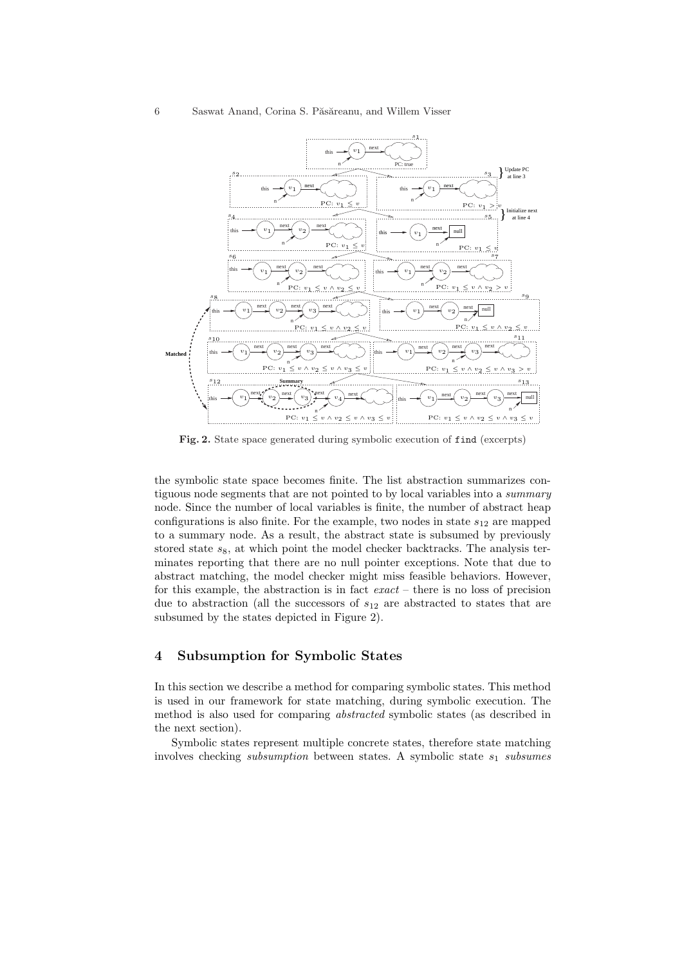

Fig. 2. State space generated during symbolic execution of find (excerpts)

the symbolic state space becomes finite. The list abstraction summarizes contiguous node segments that are not pointed to by local variables into a summary node. Since the number of local variables is finite, the number of abstract heap configurations is also finite. For the example, two nodes in state  $s_{12}$  are mapped to a summary node. As a result, the abstract state is subsumed by previously stored state  $s_8$ , at which point the model checker backtracks. The analysis terminates reporting that there are no null pointer exceptions. Note that due to abstract matching, the model checker might miss feasible behaviors. However, for this example, the abstraction is in fact  $exact$  – there is no loss of precision due to abstraction (all the successors of  $s_{12}$  are abstracted to states that are subsumed by the states depicted in Figure 2).

# 4 Subsumption for Symbolic States

In this section we describe a method for comparing symbolic states. This method is used in our framework for state matching, during symbolic execution. The method is also used for comparing abstracted symbolic states (as described in the next section).

Symbolic states represent multiple concrete states, therefore state matching involves checking *subsumption* between states. A symbolic state  $s_1$  subsumes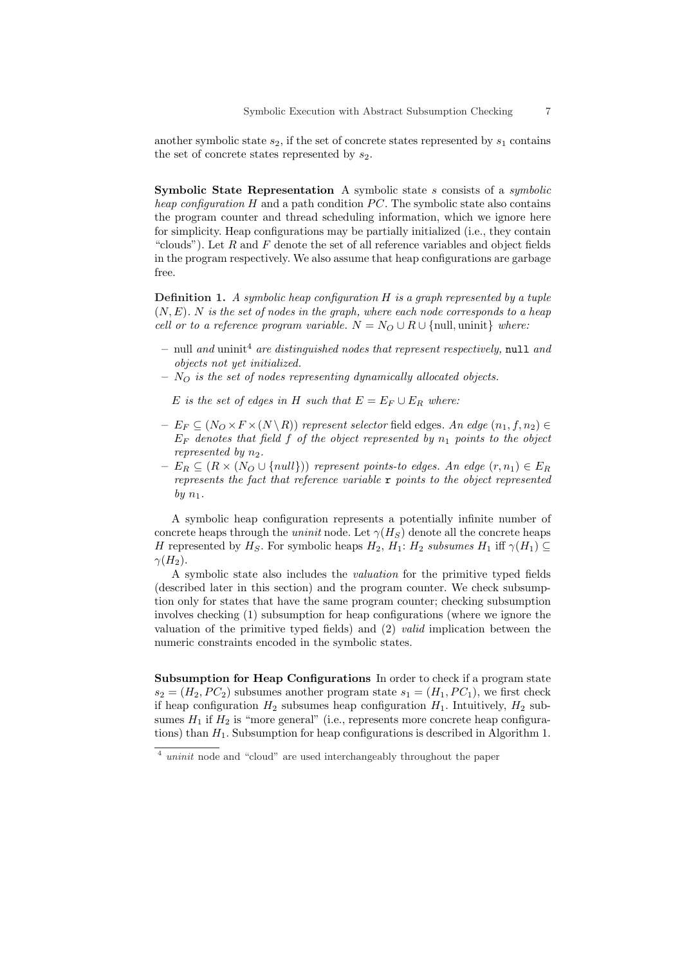another symbolic state  $s_2$ , if the set of concrete states represented by  $s_1$  contains the set of concrete states represented by  $s_2$ .

Symbolic State Representation A symbolic state  $s$  consists of a *symbolic* heap configuration  $H$  and a path condition  $PC$ . The symbolic state also contains the program counter and thread scheduling information, which we ignore here for simplicity. Heap configurations may be partially initialized (i.e., they contain "clouds"). Let  $R$  and  $F$  denote the set of all reference variables and object fields in the program respectively. We also assume that heap configurations are garbage free.

**Definition 1.** A symbolic heap configuration  $H$  is a graph represented by a tuple  $(N, E)$ . N is the set of nodes in the graph, where each node corresponds to a heap cell or to a reference program variable.  $N = N_O \cup R \cup \{\text{null}, \text{uninit}\}\$  where:

- null and uninit<sup>4</sup> are distinguished nodes that represent respectively,  $null$  and objects not yet initialized.
- $N_O$  is the set of nodes representing dynamically allocated objects.

E is the set of edges in H such that  $E = E_F \cup E_R$  where:

- $-E_F \subseteq (N_O \times F \times (N \setminus R))$  represent selector field edges. An edge  $(n_1, f, n_2) \in$  $E_F$  denotes that field f of the object represented by  $n_1$  points to the object represented by  $n_2$ .
- $-E_R \subseteq (R \times (N_O \cup \{null\}))$  represent points-to edges. An edge  $(r, n_1) \in E_R$ represents the fact that reference variable  $\bf{r}$  points to the object represented by  $n_1$ .

A symbolic heap configuration represents a potentially infinite number of concrete heaps through the *uninit* node. Let  $\gamma(H_S)$  denote all the concrete heaps H represented by  $H_S$ . For symbolic heaps  $H_2$ ,  $H_1$ :  $H_2$  subsumes  $H_1$  iff  $\gamma(H_1) \subseteq$  $\gamma(H_2)$ .

A symbolic state also includes the valuation for the primitive typed fields (described later in this section) and the program counter. We check subsumption only for states that have the same program counter; checking subsumption involves checking (1) subsumption for heap configurations (where we ignore the valuation of the primitive typed fields) and (2) valid implication between the numeric constraints encoded in the symbolic states.

Subsumption for Heap Configurations In order to check if a program state  $s_2 = (H_2, PC_2)$  subsumes another program state  $s_1 = (H_1, PC_1)$ , we first check if heap configuration  $H_2$  subsumes heap configuration  $H_1$ . Intuitively,  $H_2$  subsumes  $H_1$  if  $H_2$  is "more general" (i.e., represents more concrete heap configurations) than  $H_1$ . Subsumption for heap configurations is described in Algorithm 1.

<sup>&</sup>lt;sup>4</sup> uninit node and "cloud" are used interchangeably throughout the paper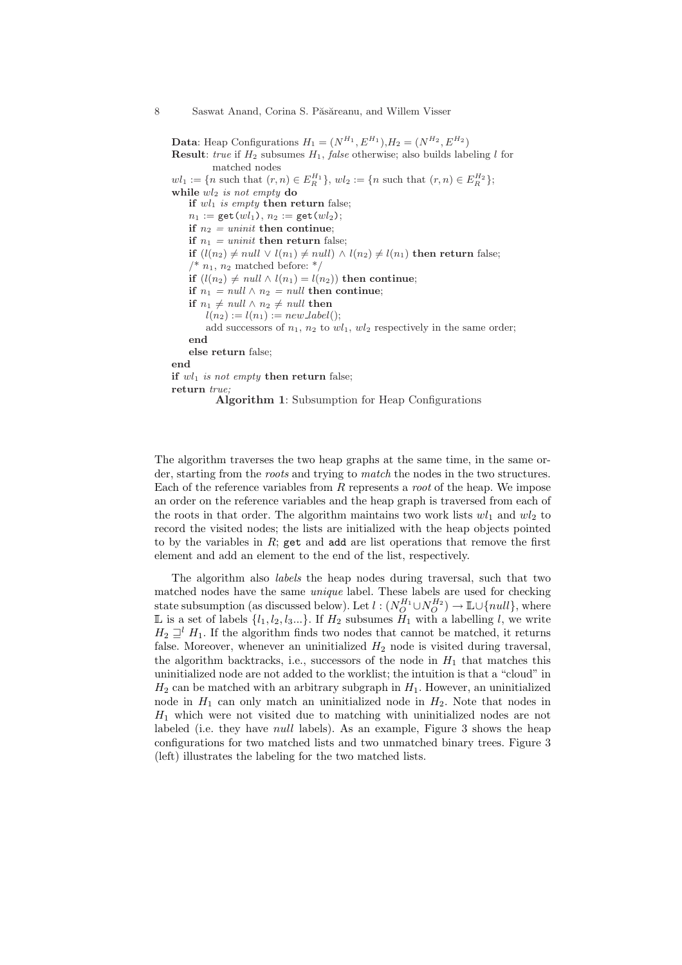**Data:** Heap Configurations  $H_1 = (N^{H_1}, E^{H_1}), H_2 = (N^{H_2}, E^{H_2})$ **Result:** true if  $H_2$  subsumes  $H_1$ , false otherwise; also builds labeling l for matched nodes  $wl_1 := \{ n \text{ such that } (r, n) \in E_R^{H_1} \}, wl_2 := \{ n \text{ such that } (r, n) \in E_R^{H_2} \};$ while  $wl_2$  is not empty do if  $wl_1$  is empty then return false;  $n_1 := \gcd(wl_1), n_2 := \gcd(wl_2);$ if  $n_2 = \text{uninit}$  then continue; if  $n_1 = \text{uninit}$  then return false; **if**  $(l(n_2) \neq null \vee l(n_1) \neq null) \wedge l(n_2) \neq l(n_1)$  then return false;  $\frac{1}{2}$  n<sub>1</sub>, n<sub>2</sub> matched before: \*/ if  $(l(n_2) \neq null \wedge l(n_1) = l(n_2)$  then continue; if  $n_1 = null \wedge n_2 = null$  then continue; if  $n_1 \neq null \wedge n_2 \neq null$  then  $l(n_2) := l(n_1) := new\_label()$ ; add successors of  $n_1$ ,  $n_2$  to  $wl_1$ ,  $wl_2$  respectively in the same order; end else return false; end if  $wl_1$  is not empty then return false; return true; Algorithm 1: Subsumption for Heap Configurations

The algorithm traverses the two heap graphs at the same time, in the same order, starting from the *roots* and trying to *match* the nodes in the two structures. Each of the reference variables from  $R$  represents a *root* of the heap. We impose an order on the reference variables and the heap graph is traversed from each of the roots in that order. The algorithm maintains two work lists  $wl_1$  and  $wl_2$  to record the visited nodes; the lists are initialized with the heap objects pointed to by the variables in  $R$ ; get and add are list operations that remove the first element and add an element to the end of the list, respectively.

The algorithm also labels the heap nodes during traversal, such that two matched nodes have the same unique label. These labels are used for checking state subsumption (as discussed below). Let  $l:(N_O^{H_1}\cup N_O^{H_2})\to \mathbb{L}\cup \{null\}$ , where L is a set of labels  $\{l_1, l_2, l_3...\}$ . If  $H_2$  subsumes  $H_1$  with a labelling l, we write  $H_2 \supseteq^{\ell} H_1$ . If the algorithm finds two nodes that cannot be matched, it returns false. Moreover, whenever an uninitialized  $H_2$  node is visited during traversal, the algorithm backtracks, i.e., successors of the node in  $H_1$  that matches this uninitialized node are not added to the worklist; the intuition is that a "cloud" in  $H_2$  can be matched with an arbitrary subgraph in  $H_1$ . However, an uninitialized node in  $H_1$  can only match an uninitialized node in  $H_2$ . Note that nodes in  $H_1$  which were not visited due to matching with uninitialized nodes are not labeled (i.e. they have *null* labels). As an example, Figure 3 shows the heap configurations for two matched lists and two unmatched binary trees. Figure 3 (left) illustrates the labeling for the two matched lists.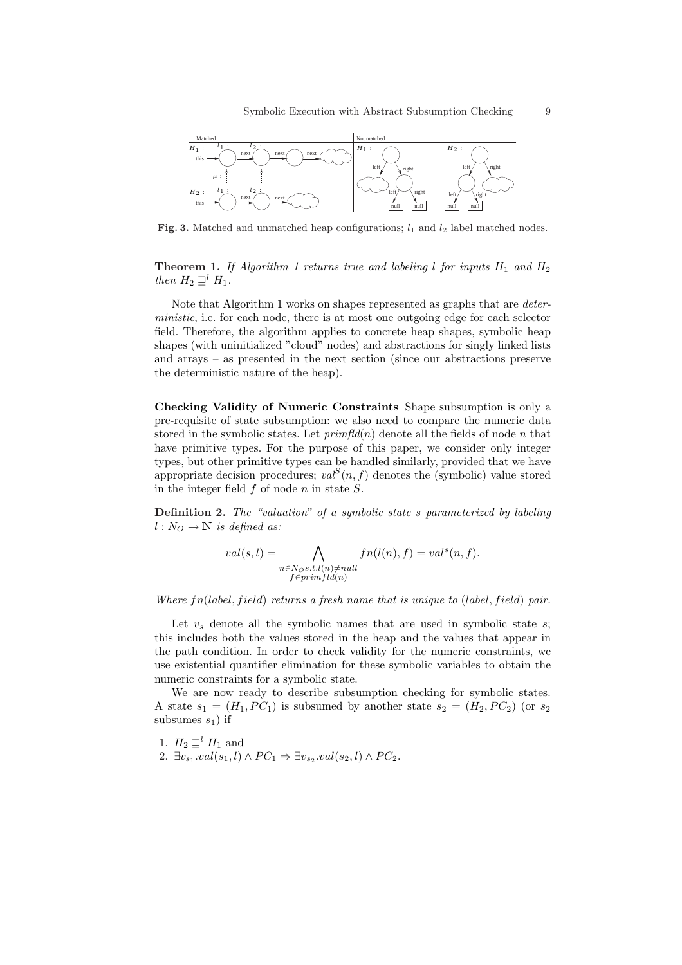

Fig. 3. Matched and unmatched heap configurations;  $l_1$  and  $l_2$  label matched nodes.

**Theorem 1.** If Algorithm 1 returns true and labeling l for inputs  $H_1$  and  $H_2$ then  $H_2 \sqsupseteq^l H_1$ .

Note that Algorithm 1 works on shapes represented as graphs that are deterministic, i.e. for each node, there is at most one outgoing edge for each selector field. Therefore, the algorithm applies to concrete heap shapes, symbolic heap shapes (with uninitialized "cloud" nodes) and abstractions for singly linked lists and arrays – as presented in the next section (since our abstractions preserve the deterministic nature of the heap).

Checking Validity of Numeric Constraints Shape subsumption is only a pre-requisite of state subsumption: we also need to compare the numeric data stored in the symbolic states. Let  $primfd(n)$  denote all the fields of node n that have primitive types. For the purpose of this paper, we consider only integer types, but other primitive types can be handled similarly, provided that we have appropriate decision procedures;  $val^S(n, f)$  denotes the (symbolic) value stored in the integer field  $f$  of node  $n$  in state  $S$ .

Definition 2. The "valuation" of a symbolic state s parameterized by labeling  $l : N_O \to \mathbb{N}$  is defined as:

$$
val(s,l) = \bigwedge_{\substack{n \in N_O s.t.l(n) \neq null \\ f \in primfd(n)}} fn(l(n),f) = val^s(n,f).
$$

Where  $fn(label, field)$  returns a fresh name that is unique to  $(label, field)$  pair.

Let  $v_s$  denote all the symbolic names that are used in symbolic state s; this includes both the values stored in the heap and the values that appear in the path condition. In order to check validity for the numeric constraints, we use existential quantifier elimination for these symbolic variables to obtain the numeric constraints for a symbolic state.

We are now ready to describe subsumption checking for symbolic states. A state  $s_1 = (H_1, PC_1)$  is subsumed by another state  $s_2 = (H_2, PC_2)$  (or  $s_2$ ) subsumes  $s_1$ ) if

- 1.  $H_2 \sqsupseteq^l H_1$  and
- 2.  $\exists v_{s_1}.val(s_1, l) \wedge PC_1 \Rightarrow \exists v_{s_2}.val(s_2, l) \wedge PC_2.$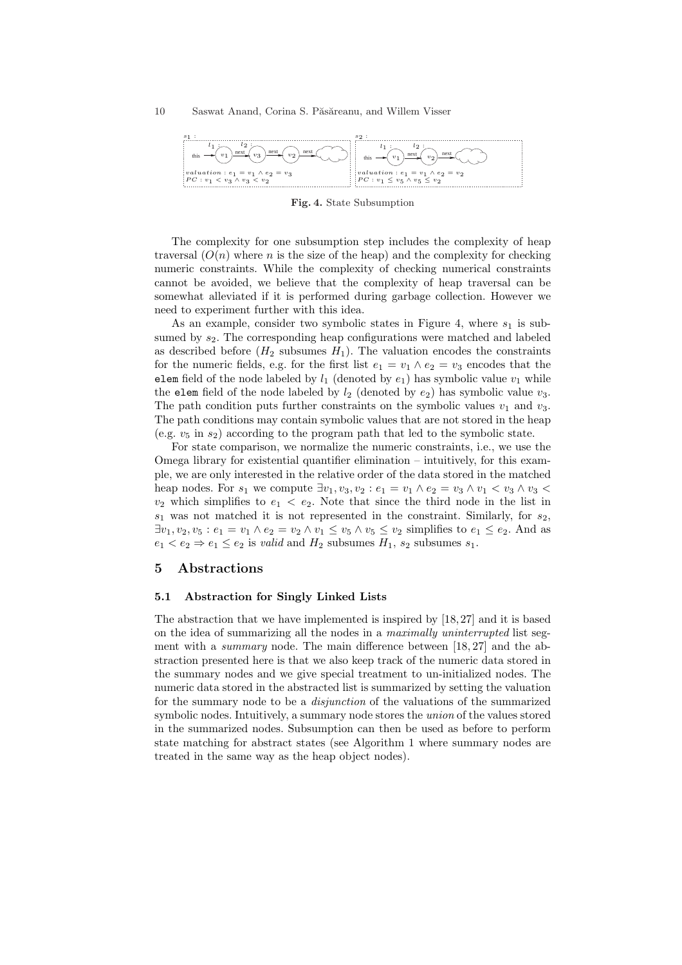

Fig. 4. State Subsumption

The complexity for one subsumption step includes the complexity of heap traversal  $(O(n)$  where n is the size of the heap) and the complexity for checking numeric constraints. While the complexity of checking numerical constraints cannot be avoided, we believe that the complexity of heap traversal can be somewhat alleviated if it is performed during garbage collection. However we need to experiment further with this idea.

As an example, consider two symbolic states in Figure 4, where  $s_1$  is subsumed by  $s_2$ . The corresponding heap configurations were matched and labeled as described before  $(H_2$  subsumes  $H_1$ ). The valuation encodes the constraints for the numeric fields, e.g. for the first list  $e_1 = v_1 \wedge e_2 = v_3$  encodes that the elem field of the node labeled by  $l_1$  (denoted by  $e_1$ ) has symbolic value  $v_1$  while the elem field of the node labeled by  $l_2$  (denoted by  $e_2$ ) has symbolic value  $v_3$ . The path condition puts further constraints on the symbolic values  $v_1$  and  $v_3$ . The path conditions may contain symbolic values that are not stored in the heap (e.g.  $v_5$  in  $s_2$ ) according to the program path that led to the symbolic state.

For state comparison, we normalize the numeric constraints, i.e., we use the Omega library for existential quantifier elimination – intuitively, for this example, we are only interested in the relative order of the data stored in the matched heap nodes. For  $s_1$  we compute  $\exists v_1, v_3, v_2 : e_1 = v_1 \wedge e_2 = v_3 \wedge v_1 < v_3 \wedge v_3 <$  $v_2$  which simplifies to  $e_1 < e_2$ . Note that since the third node in the list in  $s_1$  was not matched it is not represented in the constraint. Similarly, for  $s_2$ ,  $\exists v_1, v_2, v_5 : e_1 = v_1 \wedge e_2 = v_2 \wedge v_1 \leq v_5 \wedge v_5 \leq v_2$  simplifies to  $e_1 \leq e_2$ . And as  $e_1 < e_2 \Rightarrow e_1 \le e_2$  is valid and  $H_2$  subsumes  $H_1$ ,  $s_2$  subsumes  $s_1$ .

## 5 Abstractions

#### 5.1 Abstraction for Singly Linked Lists

The abstraction that we have implemented is inspired by [18, 27] and it is based on the idea of summarizing all the nodes in a maximally uninterrupted list segment with a *summary* node. The main difference between [18, 27] and the abstraction presented here is that we also keep track of the numeric data stored in the summary nodes and we give special treatment to un-initialized nodes. The numeric data stored in the abstracted list is summarized by setting the valuation for the summary node to be a disjunction of the valuations of the summarized symbolic nodes. Intuitively, a summary node stores the *union* of the values stored in the summarized nodes. Subsumption can then be used as before to perform state matching for abstract states (see Algorithm 1 where summary nodes are treated in the same way as the heap object nodes).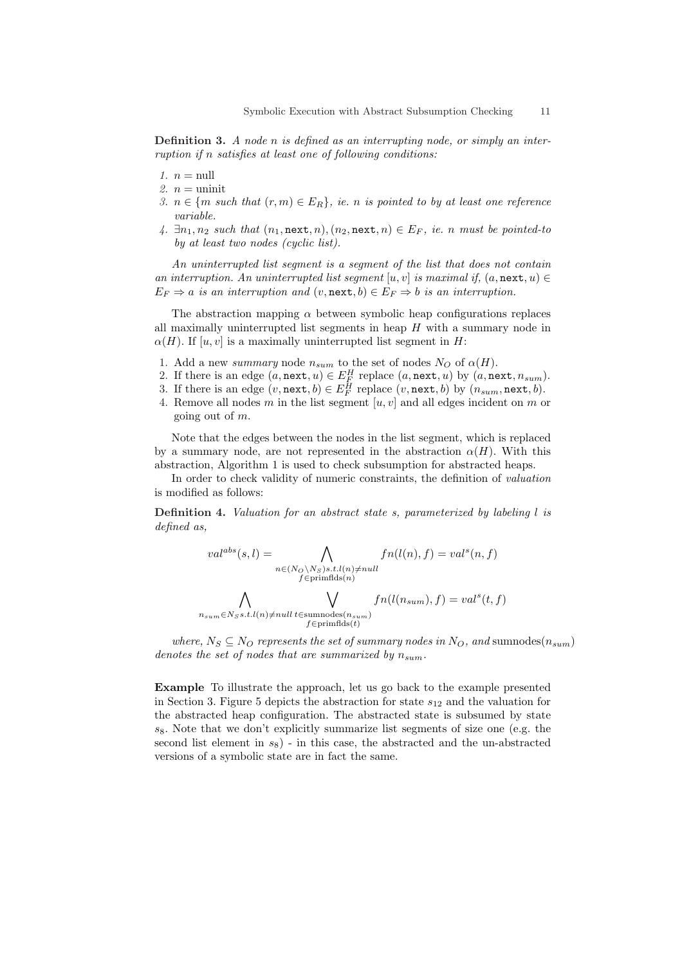**Definition 3.** A node n is defined as an interrupting node, or simply an interruption if n satisfies at least one of following conditions:

- 1.  $n = \text{null}$
- 2.  $n =$ uninit
- 3.  $n \in \{m \text{ such that } (r,m) \in E_R\}$ , ie. n is pointed to by at least one reference variable.
- 4.  $\exists n_1, n_2$  such that  $(n_1, \texttt{next}, n), (n_2, \texttt{next}, n) \in E_F$ , ie. n must be pointed-to by at least two nodes (cyclic list).

An uninterrupted list segment is a segment of the list that does not contain an interruption. An uninterrupted list segment  $[u, v]$  is maximal if,  $(a, \texttt{next}, u) \in$  $E_F \Rightarrow a$  is an interruption and  $(v, \texttt{next}, b) \in E_F \Rightarrow b$  is an interruption.

The abstraction mapping  $\alpha$  between symbolic heap configurations replaces all maximally uninterrupted list segments in heap  $H$  with a summary node in  $\alpha(H)$ . If  $[u, v]$  is a maximally uninterrupted list segment in H:

- 1. Add a new summary node  $n_{sum}$  to the set of nodes  $N_Q$  of  $\alpha(H)$ .
- 2. If there is an edge  $(a, \texttt{next}, u) \in E_F^H$  replace  $(a, \texttt{next}, u)$  by  $(a, \texttt{next}, n_{sum}).$
- 3. If there is an edge  $(v, \texttt{next}, b) \in E_F^H$  replace  $(v, \texttt{next}, b)$  by  $(n_{sum}, \texttt{next}, b)$ .
- 4. Remove all nodes m in the list segment  $[u, v]$  and all edges incident on m or going out of  $m$ .

Note that the edges between the nodes in the list segment, which is replaced by a summary node, are not represented in the abstraction  $\alpha(H)$ . With this abstraction, Algorithm 1 is used to check subsumption for abstracted heaps.

In order to check validity of numeric constraints, the definition of valuation is modified as follows:

Definition 4. Valuation for an abstract state s, parameterized by labeling l is defined as,

$$
val^{abs}(s,l) = \bigwedge_{n \in (N_O \setminus N_S) s.t. l(n) \neq null} fn(l(n), f) = val^s(n, f)
$$
  

$$
\bigwedge_{f \in \text{primflds}(n)} \bigwedge_{n_{sum} \in N_S s.t. l(n) \neq null} \bigvee_{\substack{f \in \text{primflds}(n) \\ f \in \text{primflds}(t)}} fn(l(n_{sum}), f) = val^s(t, f)
$$

where,  $N_S \subseteq N_O$  represents the set of summary nodes in  $N_O$ , and sumnodes $(n_{sum})$ denotes the set of nodes that are summarized by  $n_{sum}$ .

Example To illustrate the approach, let us go back to the example presented in Section 3. Figure 5 depicts the abstraction for state  $s_{12}$  and the valuation for the abstracted heap configuration. The abstracted state is subsumed by state  $s_8$ . Note that we don't explicitly summarize list segments of size one (e.g. the second list element in  $s_8$ ) - in this case, the abstracted and the un-abstracted versions of a symbolic state are in fact the same.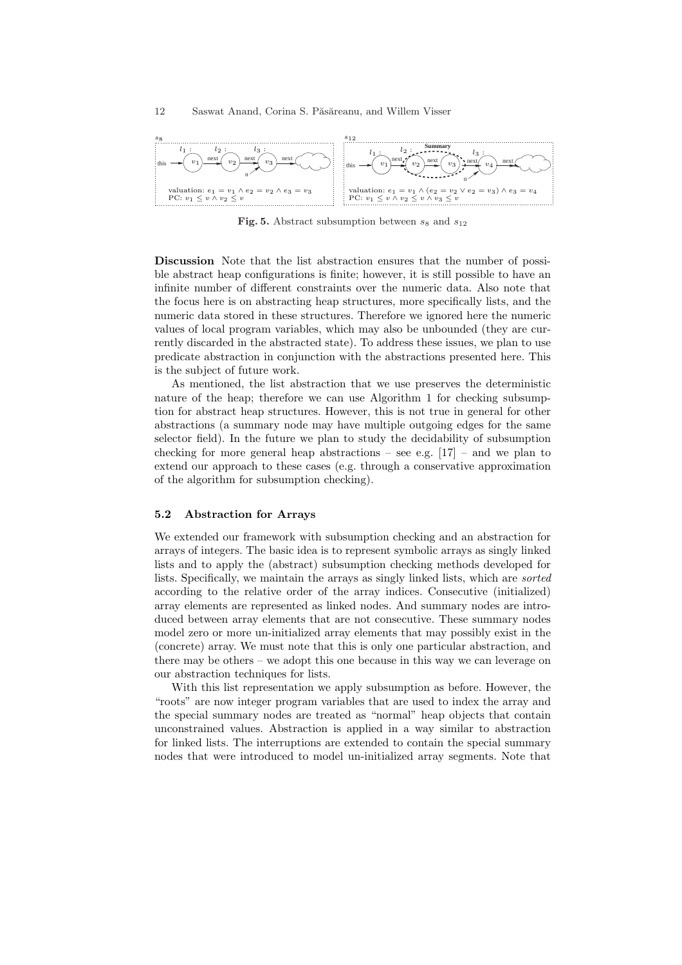

Fig. 5. Abstract subsumption between  $s_8$  and  $s_{12}$ 

Discussion Note that the list abstraction ensures that the number of possible abstract heap configurations is finite; however, it is still possible to have an infinite number of different constraints over the numeric data. Also note that the focus here is on abstracting heap structures, more specifically lists, and the numeric data stored in these structures. Therefore we ignored here the numeric values of local program variables, which may also be unbounded (they are currently discarded in the abstracted state). To address these issues, we plan to use predicate abstraction in conjunction with the abstractions presented here. This is the subject of future work.

As mentioned, the list abstraction that we use preserves the deterministic nature of the heap; therefore we can use Algorithm 1 for checking subsumption for abstract heap structures. However, this is not true in general for other abstractions (a summary node may have multiple outgoing edges for the same selector field). In the future we plan to study the decidability of subsumption checking for more general heap abstractions – see e.g.  $[17]$  – and we plan to extend our approach to these cases (e.g. through a conservative approximation of the algorithm for subsumption checking).

#### 5.2 Abstraction for Arrays

We extended our framework with subsumption checking and an abstraction for arrays of integers. The basic idea is to represent symbolic arrays as singly linked lists and to apply the (abstract) subsumption checking methods developed for lists. Specifically, we maintain the arrays as singly linked lists, which are sorted according to the relative order of the array indices. Consecutive (initialized) array elements are represented as linked nodes. And summary nodes are introduced between array elements that are not consecutive. These summary nodes model zero or more un-initialized array elements that may possibly exist in the (concrete) array. We must note that this is only one particular abstraction, and there may be others – we adopt this one because in this way we can leverage on our abstraction techniques for lists.

With this list representation we apply subsumption as before. However, the "roots" are now integer program variables that are used to index the array and the special summary nodes are treated as "normal" heap objects that contain unconstrained values. Abstraction is applied in a way similar to abstraction for linked lists. The interruptions are extended to contain the special summary nodes that were introduced to model un-initialized array segments. Note that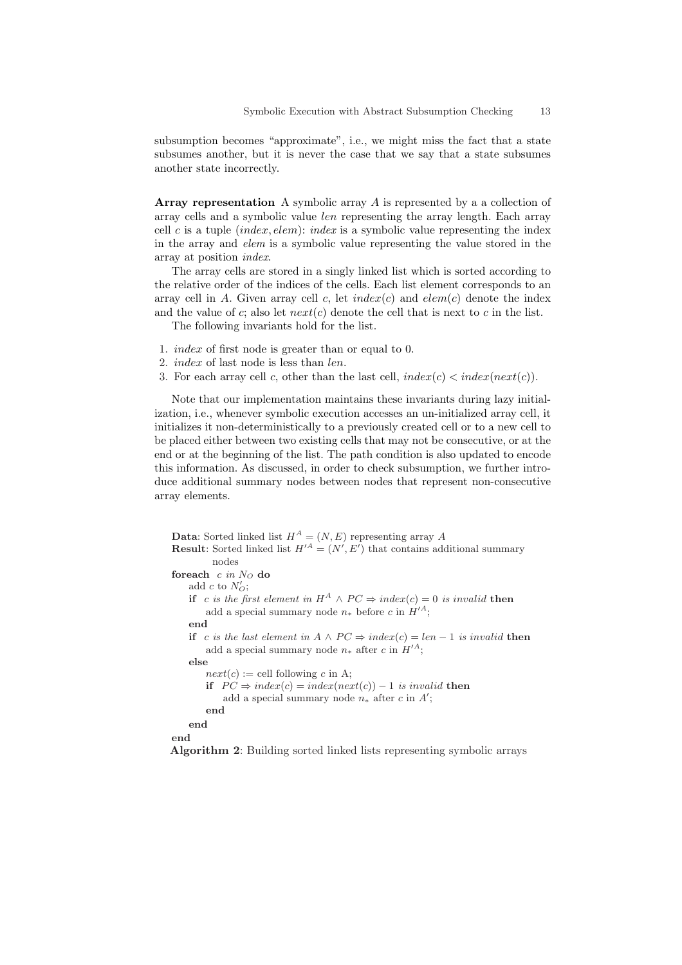subsumption becomes "approximate", i.e., we might miss the fact that a state subsumes another, but it is never the case that we say that a state subsumes another state incorrectly.

Array representation A symbolic array  $A$  is represented by a a collection of array cells and a symbolic value len representing the array length. Each array cell c is a tuple  $(index, elem): index$  is a symbolic value representing the index in the array and elem is a symbolic value representing the value stored in the array at position index.

The array cells are stored in a singly linked list which is sorted according to the relative order of the indices of the cells. Each list element corresponds to an array cell in A. Given array cell c, let  $index(c)$  and  $elem(c)$  denote the index and the value of c; also let  $next(c)$  denote the cell that is next to c in the list.

The following invariants hold for the list.

- 1. index of first node is greater than or equal to 0.
- 2. index of last node is less than len.
- 3. For each array cell c, other than the last cell,  $index(c) < index(next(c))$ .

Note that our implementation maintains these invariants during lazy initialization, i.e., whenever symbolic execution accesses an un-initialized array cell, it initializes it non-deterministically to a previously created cell or to a new cell to be placed either between two existing cells that may not be consecutive, or at the end or at the beginning of the list. The path condition is also updated to encode this information. As discussed, in order to check subsumption, we further introduce additional summary nodes between nodes that represent non-consecutive array elements.

**Data:** Sorted linked list  $H^A = (N, E)$  representing array A **Result:** Sorted linked list  $H^{\prime A} = (N', E')$  that contains additional summary nodes foreach  $c$  in  $N_Q$  do add c to  $N'_O$ ; if c is the first element in  $H^A \wedge PC \Rightarrow index(c) = 0$  is invalid then add a special summary node  $n_*$  before c in  $H^{'A}$ ; end if c is the last element in  $A \wedge PC \Rightarrow index(c) = len - 1$  is invalid then add a special summary node  $n_*$  after c in  $H^{\prime A}$ ; else  $next(c) :=$  cell following c in A; if  $PC \Rightarrow index(c) = index(next(c)) - 1$  is invalid then add a special summary node  $n_*$  after c in A'; end end end

Algorithm 2: Building sorted linked lists representing symbolic arrays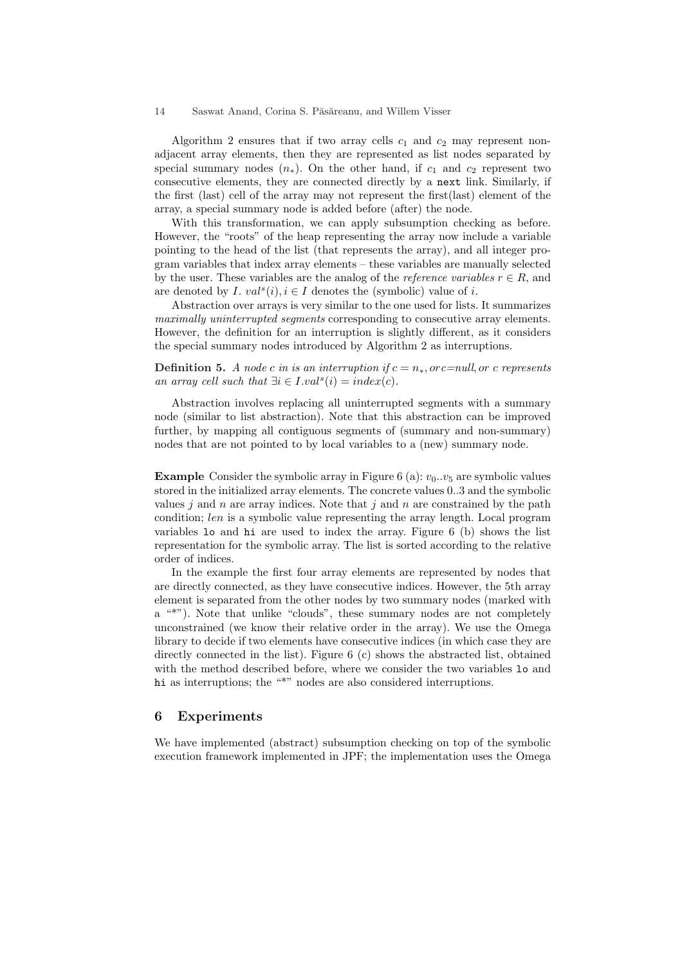#### 14 Saswat Anand, Corina S. Păsăreanu, and Willem Visser

Algorithm 2 ensures that if two array cells  $c_1$  and  $c_2$  may represent nonadjacent array elements, then they are represented as list nodes separated by special summary nodes  $(n_*)$ . On the other hand, if  $c_1$  and  $c_2$  represent two consecutive elements, they are connected directly by a next link. Similarly, if the first (last) cell of the array may not represent the first(last) element of the array, a special summary node is added before (after) the node.

With this transformation, we can apply subsumption checking as before. However, the "roots" of the heap representing the array now include a variable pointing to the head of the list (that represents the array), and all integer program variables that index array elements – these variables are manually selected by the user. These variables are the analog of the *reference variables*  $r \in R$ , and are denoted by *I*.  $val^s(i), i \in I$  denotes the (symbolic) value of i.

Abstraction over arrays is very similar to the one used for lists. It summarizes maximally uninterrupted segments corresponding to consecutive array elements. However, the definition for an interruption is slightly different, as it considers the special summary nodes introduced by Algorithm 2 as interruptions.

**Definition 5.** A node c in is an interruption if  $c = n_*$ , or c=null, or c represents an array cell such that  $\exists i \in I.val^s(i) = index(c)$ .

Abstraction involves replacing all uninterrupted segments with a summary node (similar to list abstraction). Note that this abstraction can be improved further, by mapping all contiguous segments of (summary and non-summary) nodes that are not pointed to by local variables to a (new) summary node.

**Example** Consider the symbolic array in Figure 6 (a):  $v_0 \nvert v_5$  are symbolic values stored in the initialized array elements. The concrete values 0..3 and the symbolic values j and n are array indices. Note that j and n are constrained by the path condition; len is a symbolic value representing the array length. Local program variables lo and hi are used to index the array. Figure 6 (b) shows the list representation for the symbolic array. The list is sorted according to the relative order of indices.

In the example the first four array elements are represented by nodes that are directly connected, as they have consecutive indices. However, the 5th array element is separated from the other nodes by two summary nodes (marked with a "\*"). Note that unlike "clouds", these summary nodes are not completely unconstrained (we know their relative order in the array). We use the Omega library to decide if two elements have consecutive indices (in which case they are directly connected in the list). Figure 6 (c) shows the abstracted list, obtained with the method described before, where we consider the two variables lo and hi as interruptions; the "\*" nodes are also considered interruptions.

## 6 Experiments

We have implemented (abstract) subsumption checking on top of the symbolic execution framework implemented in JPF; the implementation uses the Omega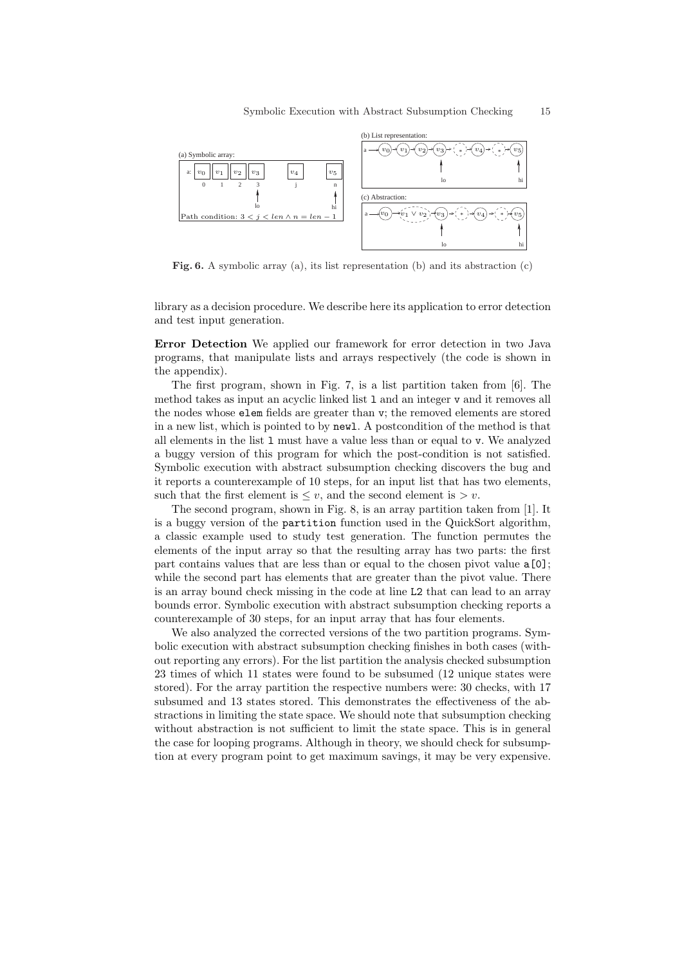

Fig. 6. A symbolic array (a), its list representation (b) and its abstraction (c)

library as a decision procedure. We describe here its application to error detection and test input generation.

Error Detection We applied our framework for error detection in two Java programs, that manipulate lists and arrays respectively (the code is shown in the appendix).

The first program, shown in Fig. 7, is a list partition taken from [6]. The method takes as input an acyclic linked list l and an integer v and it removes all the nodes whose elem fields are greater than v; the removed elements are stored in a new list, which is pointed to by newl. A postcondition of the method is that all elements in the list l must have a value less than or equal to v. We analyzed a buggy version of this program for which the post-condition is not satisfied. Symbolic execution with abstract subsumption checking discovers the bug and it reports a counterexample of 10 steps, for an input list that has two elements, such that the first element is  $\leq v$ , and the second element is  $> v$ .

The second program, shown in Fig. 8, is an array partition taken from [1]. It is a buggy version of the partition function used in the QuickSort algorithm, a classic example used to study test generation. The function permutes the elements of the input array so that the resulting array has two parts: the first part contains values that are less than or equal to the chosen pivot value a[0]; while the second part has elements that are greater than the pivot value. There is an array bound check missing in the code at line L2 that can lead to an array bounds error. Symbolic execution with abstract subsumption checking reports a counterexample of 30 steps, for an input array that has four elements.

We also analyzed the corrected versions of the two partition programs. Symbolic execution with abstract subsumption checking finishes in both cases (without reporting any errors). For the list partition the analysis checked subsumption 23 times of which 11 states were found to be subsumed (12 unique states were stored). For the array partition the respective numbers were: 30 checks, with 17 subsumed and 13 states stored. This demonstrates the effectiveness of the abstractions in limiting the state space. We should note that subsumption checking without abstraction is not sufficient to limit the state space. This is in general the case for looping programs. Although in theory, we should check for subsumption at every program point to get maximum savings, it may be very expensive.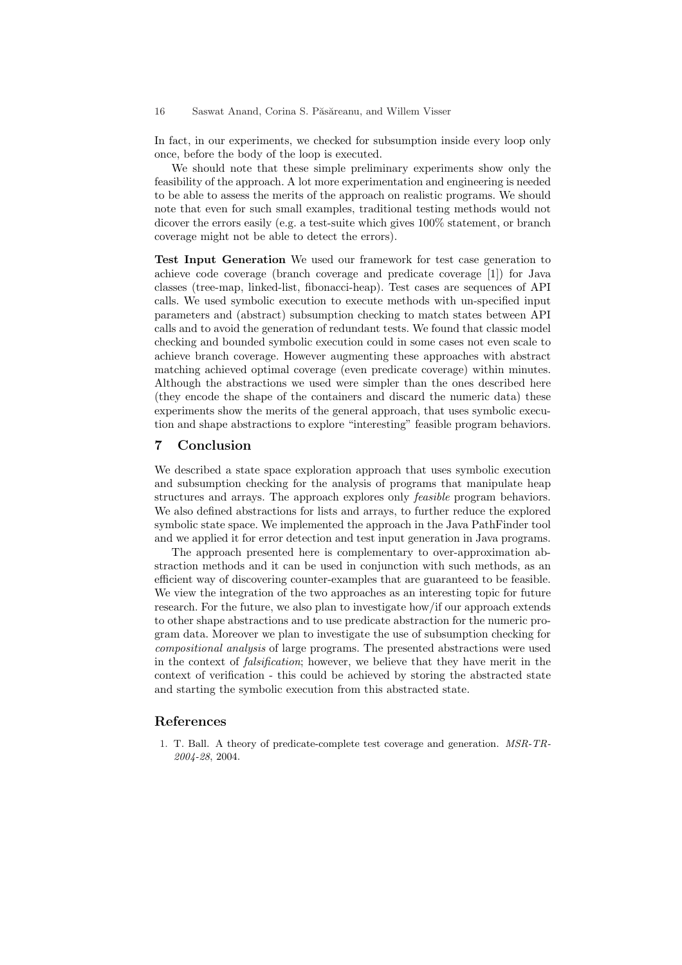In fact, in our experiments, we checked for subsumption inside every loop only once, before the body of the loop is executed.

We should note that these simple preliminary experiments show only the feasibility of the approach. A lot more experimentation and engineering is needed to be able to assess the merits of the approach on realistic programs. We should note that even for such small examples, traditional testing methods would not dicover the errors easily (e.g. a test-suite which gives 100% statement, or branch coverage might not be able to detect the errors).

Test Input Generation We used our framework for test case generation to achieve code coverage (branch coverage and predicate coverage [1]) for Java classes (tree-map, linked-list, fibonacci-heap). Test cases are sequences of API calls. We used symbolic execution to execute methods with un-specified input parameters and (abstract) subsumption checking to match states between API calls and to avoid the generation of redundant tests. We found that classic model checking and bounded symbolic execution could in some cases not even scale to achieve branch coverage. However augmenting these approaches with abstract matching achieved optimal coverage (even predicate coverage) within minutes. Although the abstractions we used were simpler than the ones described here (they encode the shape of the containers and discard the numeric data) these experiments show the merits of the general approach, that uses symbolic execution and shape abstractions to explore "interesting" feasible program behaviors.

## 7 Conclusion

We described a state space exploration approach that uses symbolic execution and subsumption checking for the analysis of programs that manipulate heap structures and arrays. The approach explores only *feasible* program behaviors. We also defined abstractions for lists and arrays, to further reduce the explored symbolic state space. We implemented the approach in the Java PathFinder tool and we applied it for error detection and test input generation in Java programs.

The approach presented here is complementary to over-approximation abstraction methods and it can be used in conjunction with such methods, as an efficient way of discovering counter-examples that are guaranteed to be feasible. We view the integration of the two approaches as an interesting topic for future research. For the future, we also plan to investigate how/if our approach extends to other shape abstractions and to use predicate abstraction for the numeric program data. Moreover we plan to investigate the use of subsumption checking for compositional analysis of large programs. The presented abstractions were used in the context of falsification; however, we believe that they have merit in the context of verification - this could be achieved by storing the abstracted state and starting the symbolic execution from this abstracted state.

# References

1. T. Ball. A theory of predicate-complete test coverage and generation. MSR-TR-2004-28, 2004.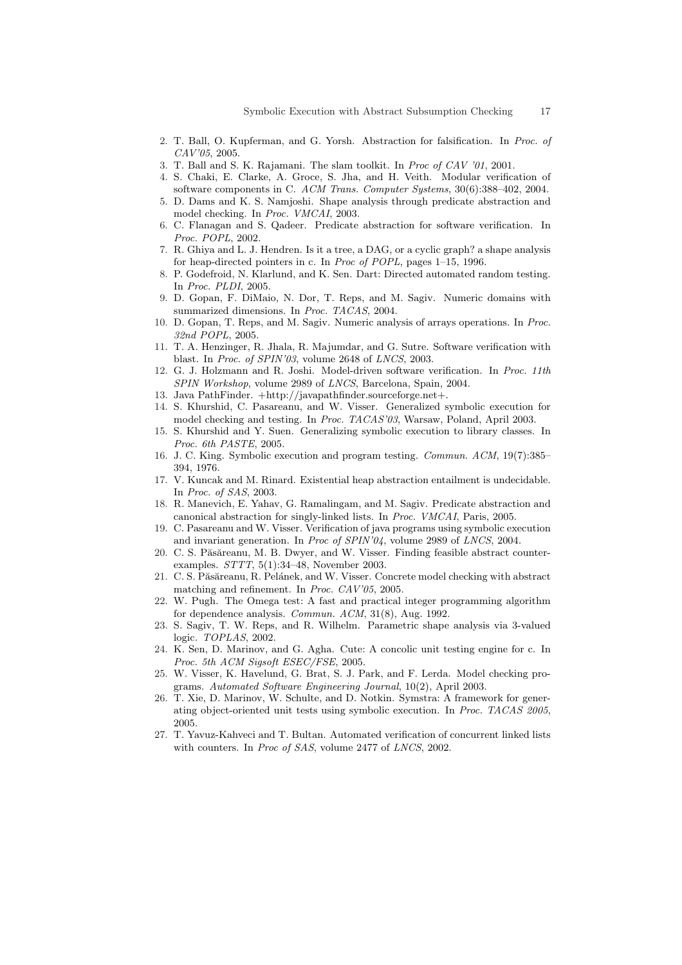- 2. T. Ball, O. Kupferman, and G. Yorsh. Abstraction for falsification. In Proc. of CAV'05, 2005.
- 3. T. Ball and S. K. Rajamani. The slam toolkit. In Proc of CAV '01, 2001.
- 4. S. Chaki, E. Clarke, A. Groce, S. Jha, and H. Veith. Modular verification of software components in C. ACM Trans. Computer Systems, 30(6):388–402, 2004.
- 5. D. Dams and K. S. Namjoshi. Shape analysis through predicate abstraction and model checking. In Proc. VMCAI, 2003.
- 6. C. Flanagan and S. Qadeer. Predicate abstraction for software verification. In Proc. POPL, 2002.
- 7. R. Ghiya and L. J. Hendren. Is it a tree, a DAG, or a cyclic graph? a shape analysis for heap-directed pointers in c. In Proc of POPL, pages 1–15, 1996.
- 8. P. Godefroid, N. Klarlund, and K. Sen. Dart: Directed automated random testing. In Proc. PLDI, 2005.
- 9. D. Gopan, F. DiMaio, N. Dor, T. Reps, and M. Sagiv. Numeric domains with summarized dimensions. In Proc. TACAS, 2004.
- 10. D. Gopan, T. Reps, and M. Sagiv. Numeric analysis of arrays operations. In Proc. 32nd POPL, 2005.
- 11. T. A. Henzinger, R. Jhala, R. Majumdar, and G. Sutre. Software verification with blast. In Proc. of SPIN'03, volume 2648 of LNCS, 2003.
- 12. G. J. Holzmann and R. Joshi. Model-driven software verification. In Proc. 11th SPIN Workshop, volume 2989 of LNCS, Barcelona, Spain, 2004.
- 13. Java PathFinder. +http://javapathfinder.sourceforge.net+.
- 14. S. Khurshid, C. Pasareanu, and W. Visser. Generalized symbolic execution for model checking and testing. In Proc. TACAS'03, Warsaw, Poland, April 2003.
- 15. S. Khurshid and Y. Suen. Generalizing symbolic execution to library classes. In Proc. 6th PASTE, 2005.
- 16. J. C. King. Symbolic execution and program testing. Commun. ACM, 19(7):385– 394, 1976.
- 17. V. Kuncak and M. Rinard. Existential heap abstraction entailment is undecidable. In Proc. of SAS, 2003.
- 18. R. Manevich, E. Yahav, G. Ramalingam, and M. Sagiv. Predicate abstraction and canonical abstraction for singly-linked lists. In Proc. VMCAI, Paris, 2005.
- 19. C. Pasareanu and W. Visser. Verification of java programs using symbolic execution and invariant generation. In Proc of SPIN'04, volume 2989 of LNCS, 2004.
- 20. C. S. Păsăreanu, M. B. Dwyer, and W. Visser. Finding feasible abstract counterexamples. STTT, 5(1):34–48, November 2003.
- 21. C. S. Păsăreanu, R. Pelánek, and W. Visser. Concrete model checking with abstract matching and refinement. In Proc. CAV'05, 2005.
- 22. W. Pugh. The Omega test: A fast and practical integer programming algorithm for dependence analysis. Commun. ACM, 31(8), Aug. 1992.
- 23. S. Sagiv, T. W. Reps, and R. Wilhelm. Parametric shape analysis via 3-valued logic. TOPLAS, 2002.
- 24. K. Sen, D. Marinov, and G. Agha. Cute: A concolic unit testing engine for c. In Proc. 5th ACM Sigsoft ESEC/FSE, 2005.
- 25. W. Visser, K. Havelund, G. Brat, S. J. Park, and F. Lerda. Model checking programs. Automated Software Engineering Journal, 10(2), April 2003.
- 26. T. Xie, D. Marinov, W. Schulte, and D. Notkin. Symstra: A framework for generating object-oriented unit tests using symbolic execution. In Proc. TACAS 2005, 2005.
- 27. T. Yavuz-Kahveci and T. Bultan. Automated verification of concurrent linked lists with counters. In Proc of SAS, volume 2477 of LNCS, 2002.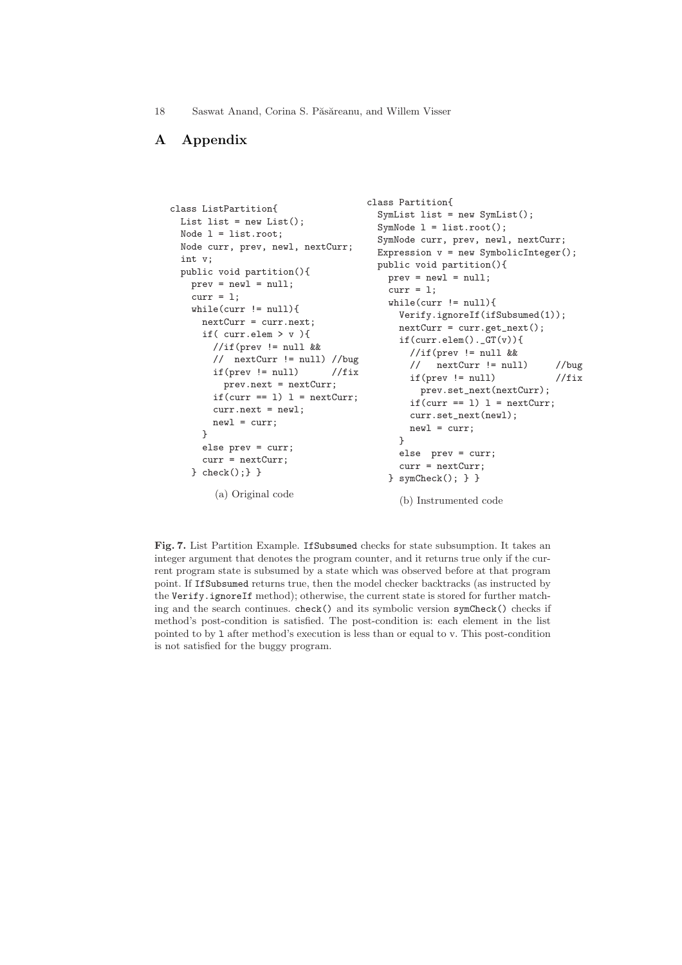# A Appendix

```
class ListPartition{
 List list = new List();
 Node l = list(root;Node curr, prev, newl, nextCurr;
 int v;
 public void partition(){
   prev = new1 = null;curr = 1;while(curr != null){nextCurr = curr.next;
      if( curr.elem > v ){
       //if(prev != null &&
       // nextCurr != null) //bug
       if(prev != null) //fix
         prev.next = nextCurr;
        if(curr == 1) 1 = nextCurr;curr.next = newl;
       new1 = curr;
      }
      else prev = curr;
      curr = nextCurr;
   } check();} }
        (a) Original code
                                    class Partition{
                                      SymList list = new SymList();
                                      SymNode l = list(root();
                                      SymNode curr, prev, newl, nextCurr;
                                      Expression v = new SymbolicInteger();
                                      public void partition(){
                                        prev = newl = null;
                                        curr = 1;while(curr != null){
                                          Verify.ignoreIf(ifSubsumed(1));
                                          nextCurr = curr.get_next();
                                          if(curr.elem().GT(v)){
                                            //if(prev != null &&
                                            // nextCurr != null) //bug
                                            if(prev != null) //fix
                                              prev.set_next(nextCurr);
                                            if(curr == 1) 1 = nextCurr;curr.set_next(newl);
                                            new1 = curr;
                                          }
                                          else prev = curr;
                                          curr = nextCurr;
                                        } symCheck(); } }
```
(b) Instrumented code

Fig. 7. List Partition Example. IfSubsumed checks for state subsumption. It takes an integer argument that denotes the program counter, and it returns true only if the current program state is subsumed by a state which was observed before at that program point. If IfSubsumed returns true, then the model checker backtracks (as instructed by the Verify.ignoreIf method); otherwise, the current state is stored for further matching and the search continues. check() and its symbolic version symCheck() checks if method's post-condition is satisfied. The post-condition is: each element in the list pointed to by l after method's execution is less than or equal to v. This post-condition is not satisfied for the buggy program.